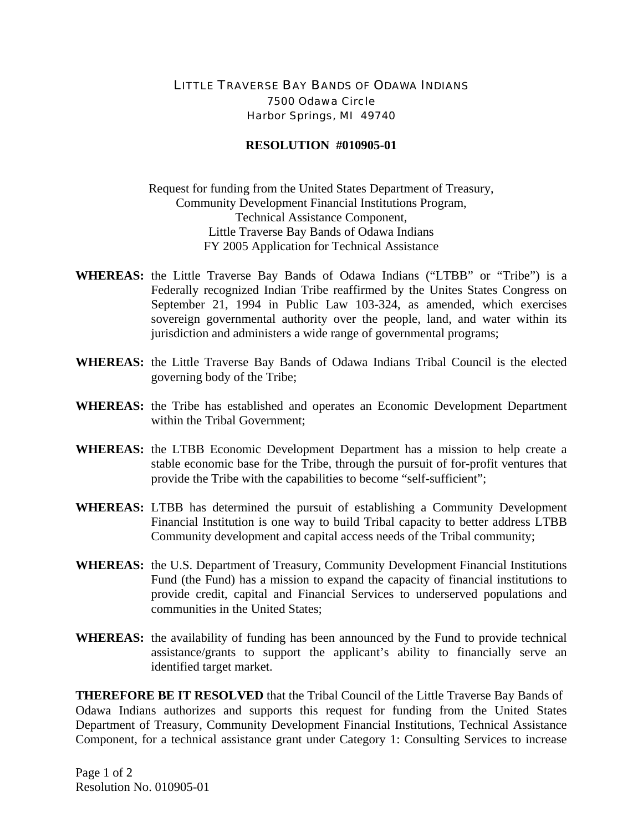## LITTLE TRAVERSE BAY BANDS OF ODAWA INDIANS 7500 Odawa Circle Harbor Springs, MI 49740

## **RESOLUTION #010905-01**

Request for funding from the United States Department of Treasury, Community Development Financial Institutions Program, Technical Assistance Component, Little Traverse Bay Bands of Odawa Indians FY 2005 Application for Technical Assistance

- **WHEREAS:** the Little Traverse Bay Bands of Odawa Indians ("LTBB" or "Tribe") is a Federally recognized Indian Tribe reaffirmed by the Unites States Congress on September 21, 1994 in Public Law 103-324, as amended, which exercises sovereign governmental authority over the people, land, and water within its jurisdiction and administers a wide range of governmental programs;
- **WHEREAS:** the Little Traverse Bay Bands of Odawa Indians Tribal Council is the elected governing body of the Tribe;
- **WHEREAS:** the Tribe has established and operates an Economic Development Department within the Tribal Government;
- **WHEREAS:** the LTBB Economic Development Department has a mission to help create a stable economic base for the Tribe, through the pursuit of for-profit ventures that provide the Tribe with the capabilities to become "self-sufficient";
- **WHEREAS:** LTBB has determined the pursuit of establishing a Community Development Financial Institution is one way to build Tribal capacity to better address LTBB Community development and capital access needs of the Tribal community;
- **WHEREAS:** the U.S. Department of Treasury, Community Development Financial Institutions Fund (the Fund) has a mission to expand the capacity of financial institutions to provide credit, capital and Financial Services to underserved populations and communities in the United States;
- **WHEREAS:** the availability of funding has been announced by the Fund to provide technical assistance/grants to support the applicant's ability to financially serve an identified target market.

**THEREFORE BE IT RESOLVED** that the Tribal Council of the Little Traverse Bay Bands of Odawa Indians authorizes and supports this request for funding from the United States Department of Treasury, Community Development Financial Institutions, Technical Assistance Component, for a technical assistance grant under Category 1: Consulting Services to increase

Page 1 of 2 Resolution No. 010905-01